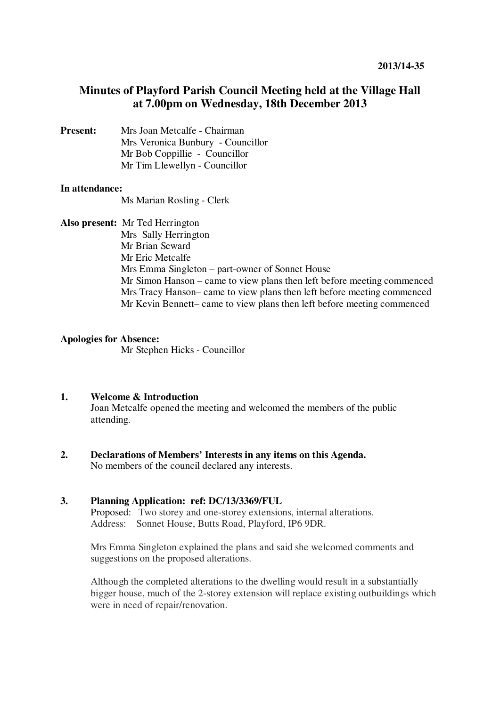# **Minutes of Playford Parish Council Meeting held at the Village Hall at 7.00pm on Wednesday, 18th December 2013**

**Present:** Mrs Joan Metcalfe - Chairman Mrs Veronica Bunbury - Councillor Mr Bob Coppillie - Councillor Mr Tim Llewellyn - Councillor

#### **In attendance:**

Ms Marian Rosling - Clerk

**Also present:** Mr Ted Herrington

Mrs Sally Herrington Mr Brian Seward Mr Eric Metcalfe Mrs Emma Singleton – part-owner of Sonnet House Mr Simon Hanson – came to view plans then left before meeting commenced Mrs Tracy Hanson– came to view plans then left before meeting commenced Mr Kevin Bennett– came to view plans then left before meeting commenced

### **Apologies for Absence:**

Mr Stephen Hicks - Councillor

#### **1. Welcome & Introduction**

Joan Metcalfe opened the meeting and welcomed the members of the public attending.

**2. Declarations of Members' Interests in any items on this Agenda.**  No members of the council declared any interests.

## **3. Planning Application: ref: DC/13/3369/FUL**

Proposed: Two storey and one-storey extensions, internal alterations. Address: Sonnet House, Butts Road, Playford, IP6 9DR.

Mrs Emma Singleton explained the plans and said she welcomed comments and suggestions on the proposed alterations.

Although the completed alterations to the dwelling would result in a substantially bigger house, much of the 2-storey extension will replace existing outbuildings which were in need of repair/renovation.